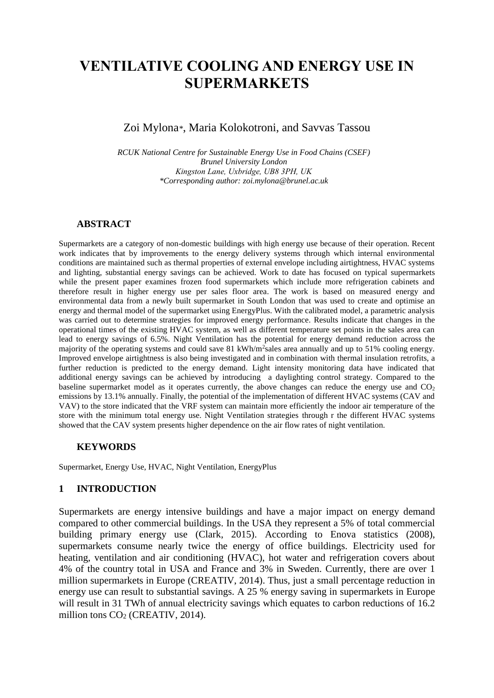# **VENTILATIVE COOLING AND ENERGY USE IN SUPERMARKETS**

## Zoi Mylona*\**, Maria Kolokotroni, and Savvas Tassou

*RCUK National Centre for Sustainable Energy Use in Food Chains (CSEF) Brunel University London Kingston Lane, Uxbridge, UB8 3PH, UK \*Corresponding author: zoi.mylona@brunel.ac.uk*

#### **ABSTRACT**

Supermarkets are a category of non-domestic buildings with high energy use because of their operation. Recent work indicates that by improvements to the energy delivery systems through which internal environmental conditions are maintained such as thermal properties of external envelope including airtightness, HVAC systems and lighting, substantial energy savings can be achieved. Work to date has focused on typical supermarkets while the present paper examines frozen food supermarkets which include more refrigeration cabinets and therefore result in higher energy use per sales floor area. The work is based on measured energy and environmental data from a newly built supermarket in South London that was used to create and optimise an energy and thermal model of the supermarket using EnergyPlus. With the calibrated model, a parametric analysis was carried out to determine strategies for improved energy performance. Results indicate that changes in the operational times of the existing HVAC system, as well as different temperature set points in the sales area can lead to energy savings of 6.5%. Night Ventilation has the potential for energy demand reduction across the majority of the operating systems and could save 81 kWh/m<sup>2</sup>sales area annually and up to 51% cooling energy. Improved envelope airtightness is also being investigated and in combination with thermal insulation retrofits, a further reduction is predicted to the energy demand. Light intensity monitoring data have indicated that additional energy savings can be achieved by introducing a daylighting control strategy. Compared to the baseline supermarket model as it operates currently, the above changes can reduce the energy use and  $CO<sub>2</sub>$ emissions by 13.1% annually. Finally, the potential of the implementation of different HVAC systems (CAV and VAV) to the store indicated that the VRF system can maintain more efficiently the indoor air temperature of the store with the minimum total energy use. Night Ventilation strategies through r the different HVAC systems showed that the CAV system presents higher dependence on the air flow rates of night ventilation.

#### **KEYWORDS**

Supermarket, Energy Use, HVAC, Night Ventilation, EnergyPlus

#### **1 INTRODUCTION**

Supermarkets are energy intensive buildings and have a major impact on energy demand compared to other commercial buildings. In the USA they represent a 5% of total commercial building primary energy use (Clark, 2015). According to Enova statistics (2008), supermarkets consume nearly twice the energy of office buildings. Electricity used for heating, ventilation and air conditioning (HVAC), hot water and refrigeration covers about 4% of the country total in USA and France and 3% in Sweden. Currently, there are over 1 million supermarkets in Europe (CREATIV, 2014). Thus, just a small percentage reduction in energy use can result to substantial savings. A 25 % energy saving in supermarkets in Europe will result in 31 TWh of annual electricity savings which equates to carbon reductions of 16.2 million tons  $CO<sub>2</sub>$  (CREATIV, 2014).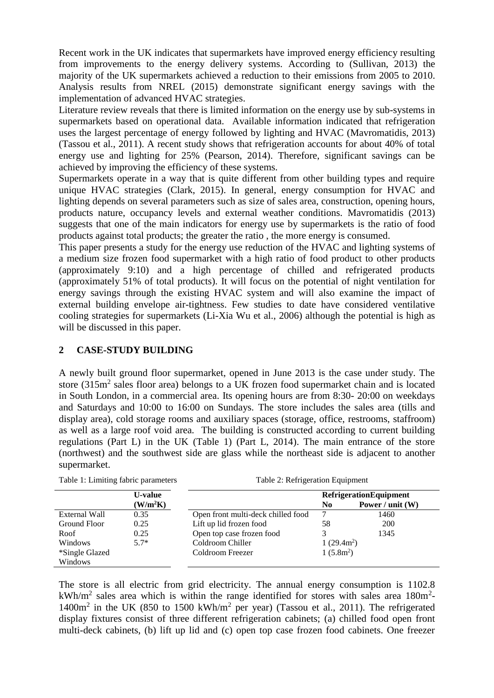Recent work in the UK indicates that supermarkets have improved energy efficiency resulting from improvements to the energy delivery systems. According to (Sullivan, 2013) the majority of the UK supermarkets achieved a reduction to their emissions from 2005 to 2010. Analysis results from NREL (2015) demonstrate significant energy savings with the implementation of advanced HVAC strategies.

Literature review reveals that there is limited information on the energy use by sub-systems in supermarkets based on operational data. Available information indicated that refrigeration uses the largest percentage of energy followed by lighting and HVAC (Mavromatidis, 2013) (Tassou et al., 2011). A recent study shows that refrigeration accounts for about 40% of total energy use and lighting for 25% (Pearson, 2014). Therefore, significant savings can be achieved by improving the efficiency of these systems.

Supermarkets operate in a way that is quite different from other building types and require unique HVAC strategies (Clark, 2015). In general, energy consumption for HVAC and lighting depends on several parameters such as size of sales area, construction, opening hours, products nature, occupancy levels and external weather conditions. Mavromatidis (2013) suggests that one of the main indicators for energy use by supermarkets is the ratio of food products against total products; the greater the ratio , the more energy is consumed.

This paper presents a study for the energy use reduction of the HVAC and lighting systems of a medium size frozen food supermarket with a high ratio of food product to other products (approximately 9:10) and a high percentage of chilled and refrigerated products (approximately 51% of total products). It will focus on the potential of night ventilation for energy savings through the existing HVAC system and will also examine the impact of external building envelope air-tightness. Few studies to date have considered ventilative cooling strategies for supermarkets (Li-Xia Wu et al., 2006) although the potential is high as will be discussed in this paper.

## **2 CASE-STUDY BUILDING**

A newly built ground floor supermarket, opened in June 2013 is the case under study. The store  $(315m<sup>2</sup>$  sales floor area) belongs to a UK frozen food supermarket chain and is located in South London, in a commercial area. Its opening hours are from 8:30- 20:00 on weekdays and Saturdays and 10:00 to 16:00 on Sundays. The store includes the sales area (tills and display area), cold storage rooms and auxiliary spaces (storage, office, restrooms, staffroom) as well as a large roof void area. The building is constructed according to current building regulations (Part L) in the UK (Table 1) (Part L, 2014). The main entrance of the store (northwest) and the southwest side are glass while the northeast side is adjacent to another supermarket.

|                | U-value              |                                    | <b>RefrigerationEquipment</b> |                    |  |
|----------------|----------------------|------------------------------------|-------------------------------|--------------------|--|
|                | (W/m <sup>2</sup> K) |                                    | No.                           | Power / unit $(W)$ |  |
| External Wall  | 0.35                 | Open front multi-deck chilled food |                               | 1460               |  |
| Ground Floor   | 0.25                 | Lift up lid frozen food            | 58                            | <b>200</b>         |  |
| Roof           | 0.25                 | Open top case frozen food          |                               | 1345               |  |
| Windows        | $5.7*$               | Coldroom Chiller                   | $1(29.4m^2)$                  |                    |  |
| *Single Glazed |                      | Coldroom Freezer                   | $1(5.8m^2)$                   |                    |  |
| Windows        |                      |                                    |                               |                    |  |

Table 1: Limiting fabric parameters Table 2: Refrigeration Equipment

The store is all electric from grid electricity. The annual energy consumption is 1102.8  $kWh/m^2$  sales area which is within the range identified for stores with sales area 180m<sup>2</sup>- $1400m<sup>2</sup>$  in the UK (850 to 1500 kWh/m<sup>2</sup> per year) (Tassou et al., 2011). The refrigerated display fixtures consist of three different refrigeration cabinets; (a) chilled food open front multi-deck cabinets, (b) lift up lid and (c) open top case frozen food cabinets. One freezer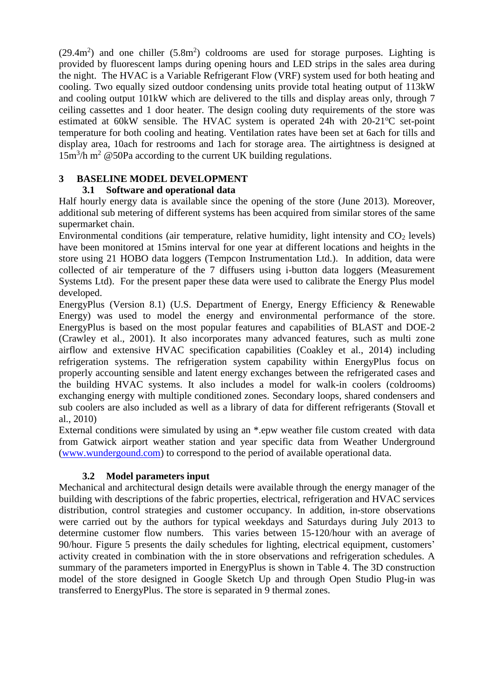$(29.4m<sup>2</sup>)$  and one chiller  $(5.8m<sup>2</sup>)$  coldrooms are used for storage purposes. Lighting is provided by fluorescent lamps during opening hours and LED strips in the sales area during the night. The HVAC is a Variable Refrigerant Flow (VRF) system used for both heating and cooling. Two equally sized outdoor condensing units provide total heating output of 113kW and cooling output 101kW which are delivered to the tills and display areas only, through 7 ceiling cassettes and 1 door heater. The design cooling duty requirements of the store was estimated at 60kW sensible. The HVAC system is operated 24h with  $20-21^{\circ}C$  set-point temperature for both cooling and heating. Ventilation rates have been set at 6ach for tills and display area, 10ach for restrooms and 1ach for storage area. The airtightness is designed at  $15m<sup>3</sup>/h$  m<sup>2</sup> @50Pa according to the current UK building regulations.

## **3 BASELINE MODEL DEVELOPMENT**

## **3.1 Software and operational data**

Half hourly energy data is available since the opening of the store (June 2013). Moreover, additional sub metering of different systems has been acquired from similar stores of the same supermarket chain.

Environmental conditions (air temperature, relative humidity, light intensity and  $CO<sub>2</sub>$  levels) have been monitored at 15mins interval for one year at different locations and heights in the store using 21 HOBO data loggers (Tempcon Instrumentation Ltd.). In addition, data were collected of air temperature of the 7 diffusers using i-button data loggers (Measurement Systems Ltd). For the present paper these data were used to calibrate the Energy Plus model developed.

EnergyPlus (Version 8.1) (U.S. Department of Energy, Energy Efficiency & Renewable Energy) was used to model the energy and environmental performance of the store. EnergyPlus is based on the most popular features and capabilities of BLAST and DOE-2 (Crawley et al., 2001). It also incorporates many advanced features, such as multi zone airflow and extensive HVAC specification capabilities (Coakley et al., 2014) including refrigeration systems. The refrigeration system capability within EnergyPlus focus on properly accounting sensible and latent energy exchanges between the refrigerated cases and the building HVAC systems. It also includes a model for walk-in coolers (coldrooms) exchanging energy with multiple conditioned zones. Secondary loops, shared condensers and sub coolers are also included as well as a library of data for different refrigerants (Stovall et al., 2010)

External conditions were simulated by using an \*.epw weather file custom created with data from Gatwick airport weather station and year specific data from Weather Underground [\(www.wundergound.com\)](http://www.wundergound.com/) to correspond to the period of available operational data.

## **3.2 Model parameters input**

Mechanical and architectural design details were available through the energy manager of the building with descriptions of the fabric properties, electrical, refrigeration and HVAC services distribution, control strategies and customer occupancy. In addition, in-store observations were carried out by the authors for typical weekdays and Saturdays during July 2013 to determine customer flow numbers. This varies between 15-120/hour with an average of 90/hour. Figure 5 presents the daily schedules for lighting, electrical equipment, customers' activity created in combination with the in store observations and refrigeration schedules. A summary of the parameters imported in EnergyPlus is shown in Table 4. The 3D construction model of the store designed in Google Sketch Up and through Open Studio Plug-in was transferred to EnergyPlus. The store is separated in 9 thermal zones.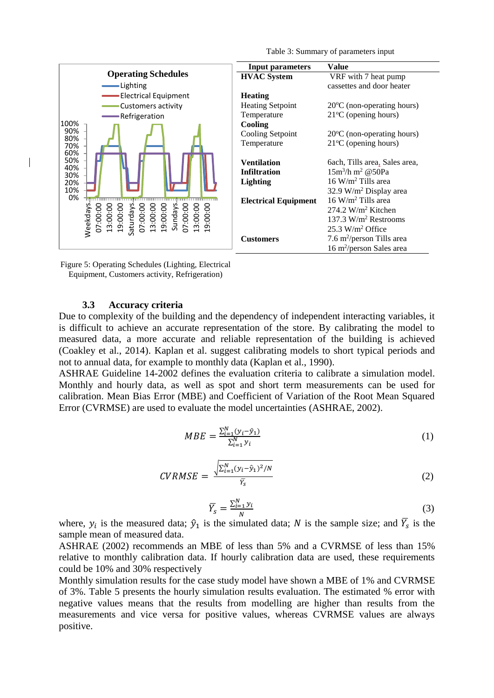

Figure 5: Operating Schedules (Lighting, Electrical Equipment, Customers activity, Refrigeration)

#### **3.3 Accuracy criteria**

Due to complexity of the building and the dependency of independent interacting variables, it is difficult to achieve an accurate representation of the store. By calibrating the model to measured data, a more accurate and reliable representation of the building is achieved (Coakley et al., 2014). Kaplan et al. suggest calibrating models to short typical periods and not to annual data, for example to monthly data (Kaplan et al., 1990).

ASHRAE Guideline 14-2002 defines the evaluation criteria to calibrate a simulation model. Monthly and hourly data, as well as spot and short term measurements can be used for calibration. Mean Bias Error (MBE) and Coefficient of Variation of the Root Mean Squared Error (CVRMSE) are used to evaluate the model uncertainties (ASHRAE, 2002).

$$
MBE = \frac{\sum_{i=1}^{N} (\mathbf{y}_i - \hat{\mathbf{y}}_1)}{\sum_{i=1}^{N} \mathbf{y}_i} \tag{1}
$$

$$
CVRMSE = \frac{\sqrt{\sum_{i=1}^{N} (y_i - \hat{y}_1)^2 / N}}{\bar{Y}_S}
$$
 (2)

$$
\overline{Y}_{s} = \frac{\sum_{i=1}^{N} y_{i}}{N}
$$
\n(3)

where,  $y_i$  is the measured data;  $\hat{y}_1$  is the simulated data; N is the sample size; and  $\overline{Y}_s$  is the sample mean of measured data.

ASHRAE (2002) recommends an MBE of less than 5% and a CVRMSE of less than 15% relative to monthly calibration data. If hourly calibration data are used, these requirements could be 10% and 30% respectively

Monthly simulation results for the case study model have shown a MBE of 1% and CVRMSE of 3%. Table 5 presents the hourly simulation results evaluation. The estimated % error with negative values means that the results from modelling are higher than results from the measurements and vice versa for positive values, whereas CVRMSE values are always positive.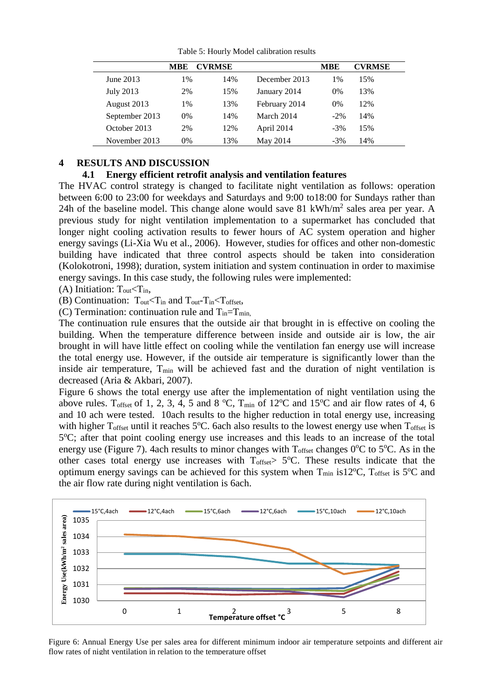|                | MBE | <b>CVRMSE</b> |               | <b>MBE</b> | <b>CVRMSE</b> |
|----------------|-----|---------------|---------------|------------|---------------|
| June 2013      | 1%  | 14%           | December 2013 | 1%         | 15%           |
| July 2013      | 2%  | 15%           | January 2014  | $0\%$      | 13%           |
| August 2013    | 1%  | 13%           | February 2014 | $0\%$      | 12%           |
| September 2013 | 0%  | 14%           | March 2014    | $-2\%$     | 14%           |
| October 2013   | 2%  | 12%           | April 2014    | $-3\%$     | 15%           |
| November 2013  | 0%  | 13%           | May 2014      | $-3\%$     | 14%           |

Table 5: Hourly Model calibration results

#### **4 RESULTS AND DISCUSSION**

#### **4.1 Energy efficient retrofit analysis and ventilation features**

The HVAC control strategy is changed to facilitate night ventilation as follows: operation between 6:00 to 23:00 for weekdays and Saturdays and 9:00 to18:00 for Sundays rather than 24h of the baseline model. This change alone would save 81 kWh/ $m<sup>2</sup>$  sales area per year. A previous study for night ventilation implementation to a supermarket has concluded that longer night cooling activation results to fewer hours of AC system operation and higher energy savings (Li-Xia Wu et al., 2006). However, studies for offices and other non-domestic building have indicated that three control aspects should be taken into consideration (Kolokotroni, 1998); duration, system initiation and system continuation in order to maximise energy savings. In this case study, the following rules were implemented:

(A) Initiation:  $T_{\text{out}} < T_{\text{in}}$ ,

(B) Continuation:  $T_{\text{out}} < T_{\text{in}}$  and  $T_{\text{out}}$ - $T_{\text{in}} < T_{\text{offset}}$ ,

(C) Termination: continuation rule and  $T_{in}=T_{min}$ 

The continuation rule ensures that the outside air that brought in is effective on cooling the building. When the temperature difference between inside and outside air is low, the air brought in will have little effect on cooling while the ventilation fan energy use will increase the total energy use. However, if the outside air temperature is significantly lower than the inside air temperature,  $T_{\text{min}}$  will be achieved fast and the duration of night ventilation is decreased (Aria & Akbari, 2007).

Figure 6 shows the total energy use after the implementation of night ventilation using the above rules. T<sub>offset</sub> of 1, 2, 3, 4, 5 and 8 °C, T<sub>min</sub> of 12°C and 15°C and air flow rates of 4, 6 and 10 ach were tested. 10ach results to the higher reduction in total energy use, increasing with higher  $T_{offset}$  until it reaches  $5^{\circ}$ C. 6ach also results to the lowest energy use when  $T_{offset}$  is 5°C; after that point cooling energy use increases and this leads to an increase of the total energy use (Figure 7). 4ach results to minor changes with  $T_{offset}$  changes  $0^{\circ}$ C to  $5^{\circ}$ C. As in the other cases total energy use increases with  $T_{offset} > 5$ °C. These results indicate that the optimum energy savings can be achieved for this system when  $T_{min}$  is 12<sup>o</sup>C,  $T_{offset}$  is 5<sup>o</sup>C and the air flow rate during night ventilation is 6ach.



Figure 6: Annual Energy Use per sales area for different minimum indoor air temperature setpoints and different air flow rates of night ventilation in relation to the temperature offset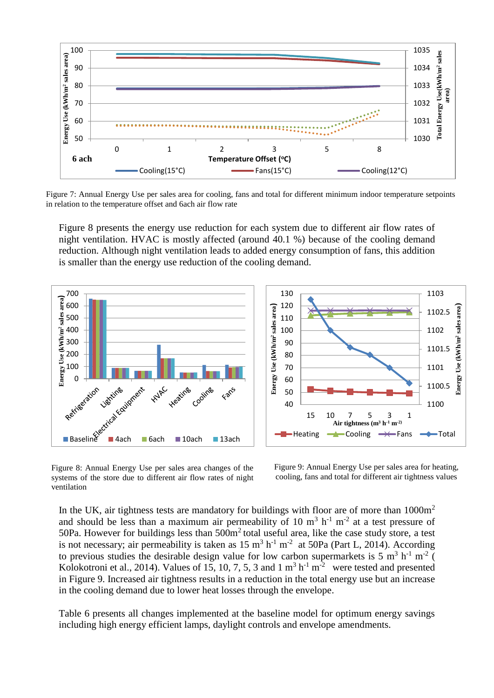

Figure 7: Annual Energy Use per sales area for cooling, fans and total for different minimum indoor temperature setpoints in relation to the temperature offset and 6ach air flow rate

Figure 8 presents the energy use reduction for each system due to different air flow rates of night ventilation. HVAC is mostly affected (around 40.1 %) because of the cooling demand reduction. Although night ventilation leads to added energy consumption of fans, this addition is smaller than the energy use reduction of the cooling demand.



Figure 8: Annual Energy Use per sales area changes of the systems of the store due to different air flow rates of night ventilation

Figure 9: Annual Energy Use per sales area for heating, cooling, fans and total for different air tightness values

In the UK, air tightness tests are mandatory for buildings with floor are of more than  $1000m<sup>2</sup>$ and should be less than a maximum air permeability of 10  $m<sup>3</sup> h<sup>-1</sup> m<sup>-2</sup>$  at a test pressure of 50Pa. However for buildings less than 500m<sup>2</sup> total useful area, like the case study store, a test is not necessary; air permeability is taken as  $15 \text{ m}^3 \text{ h}^{-1} \text{ m}^{-2}$  at  $50\text{Pa}$  (Part L, 2014). According to previous studies the desirable design value for low carbon supermarkets is 5  $\text{m}^3$  h<sup>-1</sup> m<sup>-2</sup> ( Kolokotroni et al., 2014). Values of 15, 10, 7, 5, 3 and 1  $m^3$   $h^{-1}$   $m^{-2}$  were tested and presented in Figure 9. Increased air tightness results in a reduction in the total energy use but an increase in the cooling demand due to lower heat losses through the envelope.

Table 6 presents all changes implemented at the baseline model for optimum energy savings including high energy efficient lamps, daylight controls and envelope amendments.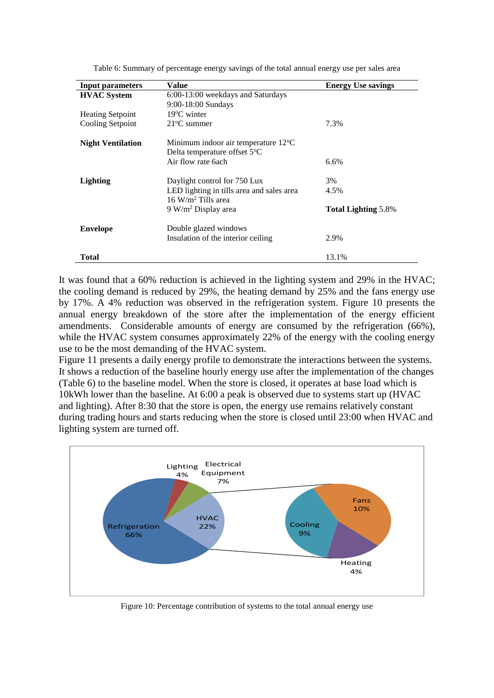| <b>Input parameters</b>  | Value                                                                         | <b>Energy Use savings</b>  |
|--------------------------|-------------------------------------------------------------------------------|----------------------------|
| <b>HVAC</b> System       | 6:00-13:00 weekdays and Saturdays                                             |                            |
|                          | 9:00-18:00 Sundays                                                            |                            |
| <b>Heating Setpoint</b>  | $19^{\circ}$ C winter                                                         |                            |
| Cooling Setpoint         | $21^{\circ}$ C summer                                                         | 7.3%                       |
| <b>Night Ventilation</b> | Minimum indoor air temperature $12^{\circ}$ C<br>Delta temperature offset 5°C |                            |
|                          | Air flow rate 6ach                                                            | 6.6%                       |
| Lighting                 | Daylight control for 750 Lux                                                  | 3%                         |
|                          | LED lighting in tills area and sales area<br>$16 \text{ W/m}^2$ Tills area    | 4.5%                       |
|                          | $9 W/m2$ Display area                                                         | <b>Total Lighting 5.8%</b> |
| <b>Envelope</b>          | Double glazed windows                                                         |                            |
|                          | Insulation of the interior ceiling                                            | 2.9%                       |
| Total                    |                                                                               | 13.1%                      |

Table 6: Summary of percentage energy savings of the total annual energy use per sales area

It was found that a 60% reduction is achieved in the lighting system and 29% in the HVAC; the cooling demand is reduced by 29%, the heating demand by 25% and the fans energy use by 17%. A 4% reduction was observed in the refrigeration system. Figure 10 presents the annual energy breakdown of the store after the implementation of the energy efficient amendments. Considerable amounts of energy are consumed by the refrigeration (66%), while the HVAC system consumes approximately 22% of the energy with the cooling energy use to be the most demanding of the HVAC system.

Figure 11 presents a daily energy profile to demonstrate the interactions between the systems. It shows a reduction of the baseline hourly energy use after the implementation of the changes (Table 6) to the baseline model. When the store is closed, it operates at base load which is 10kWh lower than the baseline. At 6:00 a peak is observed due to systems start up (HVAC and lighting). After 8:30 that the store is open, the energy use remains relatively constant during trading hours and starts reducing when the store is closed until 23:00 when HVAC and lighting system are turned off.



Figure 10: Percentage contribution of systems to the total annual energy use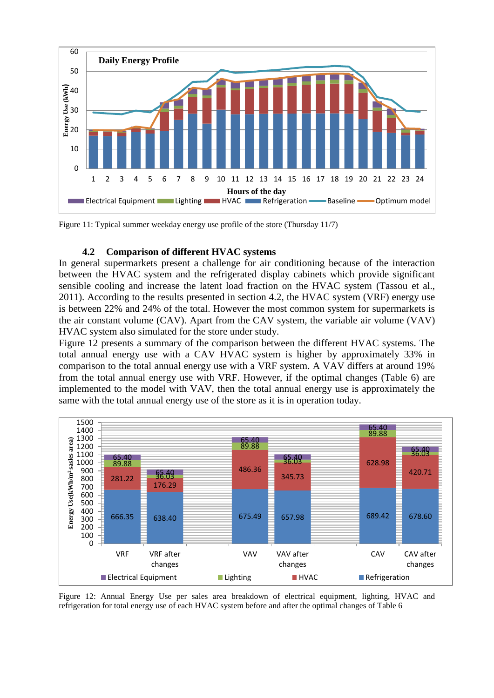

Figure 11: Typical summer weekday energy use profile of the store (Thursday 11/7)

#### **4.2 Comparison of different HVAC systems**

In general supermarkets present a challenge for air conditioning because of the interaction between the HVAC system and the refrigerated display cabinets which provide significant sensible cooling and increase the latent load fraction on the HVAC system (Tassou et al., 2011). According to the results presented in section 4.2, the HVAC system (VRF) energy use is between 22% and 24% of the total. However the most common system for supermarkets is the air constant volume (CAV). Apart from the CAV system, the variable air volume (VAV) HVAC system also simulated for the store under study.

Figure 12 presents a summary of the comparison between the different HVAC systems. The total annual energy use with a CAV HVAC system is higher by approximately 33% in comparison to the total annual energy use with a VRF system. A VAV differs at around 19% from the total annual energy use with VRF. However, if the optimal changes (Table 6) are implemented to the model with VAV, then the total annual energy use is approximately the same with the total annual energy use of the store as it is in operation today.



Figure 12: Annual Energy Use per sales area breakdown of electrical equipment, lighting, HVAC and refrigeration for total energy use of each HVAC system before and after the optimal changes of Table 6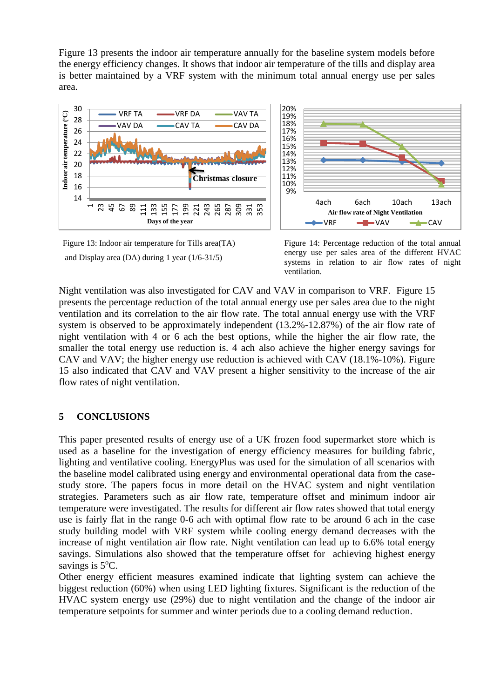Figure 13 presents the indoor air temperature annually for the baseline system models before the energy efficiency changes. It shows that indoor air temperature of the tills and display area is better maintained by a VRF system with the minimum total annual energy use per sales area.



Figure 13: Indoor air temperature for Tills area(TA) and Display area (DA) during 1 year (1/6-31/5)



Night ventilation was also investigated for CAV and VAV in comparison to VRF. Figure 15 presents the percentage reduction of the total annual energy use per sales area due to the night ventilation and its correlation to the air flow rate. The total annual energy use with the VRF system is observed to be approximately independent (13.2%-12.87%) of the air flow rate of night ventilation with 4 or 6 ach the best options, while the higher the air flow rate, the smaller the total energy use reduction is. 4 ach also achieve the higher energy savings for CAV and VAV; the higher energy use reduction is achieved with CAV (18.1%-10%). Figure 15 also indicated that CAV and VAV present a higher sensitivity to the increase of the air flow rates of night ventilation.

## **5 CONCLUSIONS**

This paper presented results of energy use of a UK frozen food supermarket store which is used as a baseline for the investigation of energy efficiency measures for building fabric, lighting and ventilative cooling. EnergyPlus was used for the simulation of all scenarios with the baseline model calibrated using energy and environmental operational data from the casestudy store. The papers focus in more detail on the HVAC system and night ventilation strategies. Parameters such as air flow rate, temperature offset and minimum indoor air temperature were investigated. The results for different air flow rates showed that total energy use is fairly flat in the range 0-6 ach with optimal flow rate to be around 6 ach in the case study building model with VRF system while cooling energy demand decreases with the increase of night ventilation air flow rate. Night ventilation can lead up to 6.6% total energy savings. Simulations also showed that the temperature offset for achieving highest energy savings is  $5^{\circ}$ C.

Other energy efficient measures examined indicate that lighting system can achieve the biggest reduction (60%) when using LED lighting fixtures. Significant is the reduction of the HVAC system energy use (29%) due to night ventilation and the change of the indoor air temperature setpoints for summer and winter periods due to a cooling demand reduction.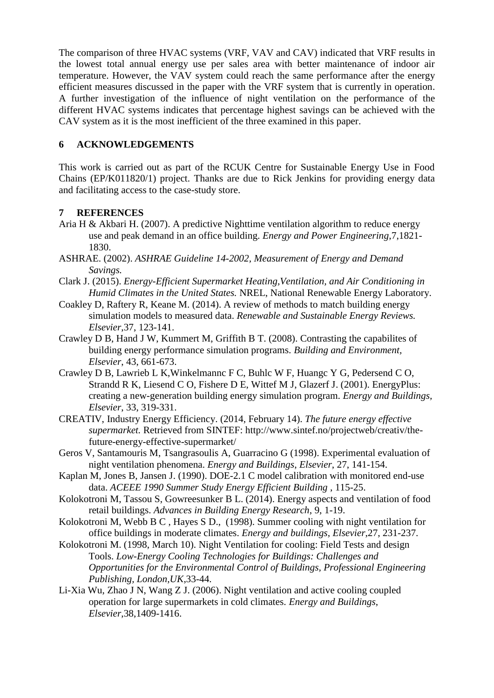The comparison of three HVAC systems (VRF, VAV and CAV) indicated that VRF results in the lowest total annual energy use per sales area with better maintenance of indoor air temperature. However, the VAV system could reach the same performance after the energy efficient measures discussed in the paper with the VRF system that is currently in operation. A further investigation of the influence of night ventilation on the performance of the different HVAC systems indicates that percentage highest savings can be achieved with the CAV system as it is the most inefficient of the three examined in this paper.

# **6 ACKNOWLEDGEMENTS**

This work is carried out as part of the RCUK Centre for Sustainable Energy Use in Food Chains (EP/K011820/1) project. Thanks are due to Rick Jenkins for providing energy data and facilitating access to the case-study store.

# **7 REFERENCES**

- Aria H & Akbari H. (2007). A predictive Nighttime ventilation algorithm to reduce energy use and peak demand in an office building. *Energy and Power Engineering*,7,1821- 1830.
- ASHRAE. (2002). *ASHRAE Guideline 14-2002, Measurement of Energy and Demand Savings.*
- Clark J. (2015). *Energy-Efficient Supermarket Heating,Ventilation, and Air Conditioning in Humid Climates in the United States.* NREL, National Renewable Energy Laboratory.
- Coakley D, Raftery R, Keane M. (2014). A review of methods to match building energy simulation models to measured data. *Renewable and Sustainable Energy Reviews. Elsevier*,37, 123-141.
- Crawley D B, Hand J W, Kummert M, Griffith B T. (2008). Contrasting the capabilites of building energy performance simulation programs. *Building and Environment, Elsevier*, 43, 661-673.
- Crawley D B, Lawrieb L K,Winkelmannc F C, Buhlc W F, Huangc Y G, Pedersend C O, Strandd R K, Liesend C O, Fishere D E, Wittef M J, Glazerf J. (2001). EnergyPlus: creating a new-generation building energy simulation program. *Energy and Buildings, Elsevier*, 33, 319-331.
- CREATIV, Industry Energy Efficiency. (2014, February 14). *The future energy effective supermarket.* Retrieved from SINTEF: http://www.sintef.no/projectweb/creativ/thefuture-energy-effective-supermarket/
- Geros V, Santamouris M, Tsangrasoulis A, Guarracino G (1998). Experimental evaluation of night ventilation phenomena. *Energy and Buildings*, *Elsevier*, 27, 141-154.
- Kaplan M, Jones B, Jansen J. (1990). DOE-2.1 C model calibration with monitored end-use data. *ACEEE 1990 Summer Study Energy Efficient Building* , 115-25.
- Kolokotroni M, Tassou S, Gowreesunker B L. (2014). Energy aspects and ventilation of food retail buildings. *Advances in Building Energy Research*, 9, 1-19.
- Kolokotroni M, Webb B C , Hayes S D., (1998). Summer cooling with night ventilation for office buildings in moderate climates. *Energy and buildings*, *Elsevier*,27, 231-237.
- Kolokotroni M. (1998, March 10). Night Ventilation for cooling: Field Tests and design Tools. *Low-Energy Cooling Technologies for Buildings: Challenges and Opportunities for the Environmental Control of Buildings, Professional Engineering Publishing, London,UK*,33-44.
- Li-Xia Wu, Zhao J N, Wang Z J. (2006). Night ventilation and active cooling coupled operation for large supermarkets in cold climates. *Energy and Buildings*, *Elsevier*,38,1409-1416.